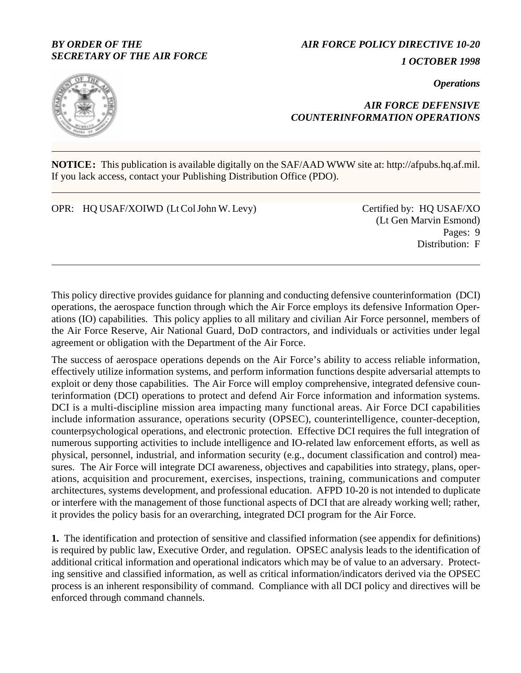## *BY ORDER OF THE SECRETARY OF THE AIR FORCE*

*AIR FORCE POLICY DIRECTIVE 10-20 1 OCTOBER 1998*

*Operations*



# *AIR FORCE DEFENSIVE COUNTERINFORMATION OPERATIONS*

**NOTICE:** This publication is available digitally on the SAF/AAD WWW site at: http://afpubs.hq.af.mil. If you lack access, contact your Publishing Distribution Office (PDO).

OPR: HQ USAF/XOIWD (Lt Col John W. Levy) Certified by: HQ USAF/XO

(Lt Gen Marvin Esmond) Pages: 9 Distribution: F

This policy directive provides guidance for planning and conducting defensive counterinformation (DCI) operations, the aerospace function through which the Air Force employs its defensive Information Operations (IO) capabilities. This policy applies to all military and civilian Air Force personnel, members of the Air Force Reserve, Air National Guard, DoD contractors, and individuals or activities under legal agreement or obligation with the Department of the Air Force.

The success of aerospace operations depends on the Air Force's ability to access reliable information, effectively utilize information systems, and perform information functions despite adversarial attempts to exploit or deny those capabilities. The Air Force will employ comprehensive, integrated defensive counterinformation (DCI) operations to protect and defend Air Force information and information systems. DCI is a multi-discipline mission area impacting many functional areas. Air Force DCI capabilities include information assurance, operations security (OPSEC), counterintelligence, counter-deception, counterpsychological operations, and electronic protection. Effective DCI requires the full integration of numerous supporting activities to include intelligence and IO-related law enforcement efforts, as well as physical, personnel, industrial, and information security (e.g., document classification and control) measures. The Air Force will integrate DCI awareness, objectives and capabilities into strategy, plans, operations, acquisition and procurement, exercises, inspections, training, communications and computer architectures, systems development, and professional education. AFPD 10-20 is not intended to duplicate or interfere with the management of those functional aspects of DCI that are already working well; rather, it provides the policy basis for an overarching, integrated DCI program for the Air Force.

**1.** The identification and protection of sensitive and classified information (see appendix for definitions) is required by public law, Executive Order, and regulation. OPSEC analysis leads to the identification of additional critical information and operational indicators which may be of value to an adversary. Protecting sensitive and classified information, as well as critical information/indicators derived via the OPSEC process is an inherent responsibility of command. Compliance with all DCI policy and directives will be enforced through command channels.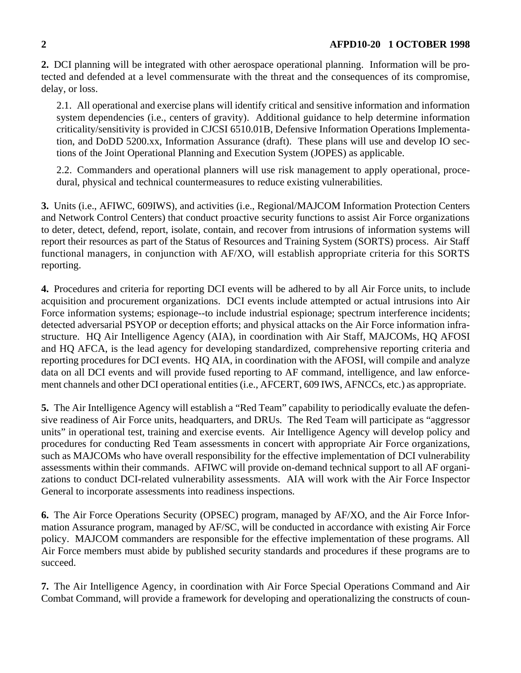**2.** DCI planning will be integrated with other aerospace operational planning. Information will be protected and defended at a level commensurate with the threat and the consequences of its compromise, delay, or loss.

2.1. All operational and exercise plans will identify critical and sensitive information and information system dependencies (i.e., centers of gravity). Additional guidance to help determine information criticality/sensitivity is provided in CJCSI 6510.01B, Defensive Information Operations Implementation, and DoDD 5200.xx, Information Assurance (draft). These plans will use and develop IO sections of the Joint Operational Planning and Execution System (JOPES) as applicable.

2.2. Commanders and operational planners will use risk management to apply operational, procedural, physical and technical countermeasures to reduce existing vulnerabilities.

**3.** Units (i.e., AFIWC, 609IWS), and activities (i.e., Regional/MAJCOM Information Protection Centers and Network Control Centers) that conduct proactive security functions to assist Air Force organizations to deter, detect, defend, report, isolate, contain, and recover from intrusions of information systems will report their resources as part of the Status of Resources and Training System (SORTS) process. Air Staff functional managers, in conjunction with AF/XO, will establish appropriate criteria for this SORTS reporting.

**4.** Procedures and criteria for reporting DCI events will be adhered to by all Air Force units, to include acquisition and procurement organizations. DCI events include attempted or actual intrusions into Air Force information systems; espionage--to include industrial espionage; spectrum interference incidents; detected adversarial PSYOP or deception efforts; and physical attacks on the Air Force information infrastructure. HQ Air Intelligence Agency (AIA), in coordination with Air Staff, MAJCOMs, HQ AFOSI and HQ AFCA, is the lead agency for developing standardized, comprehensive reporting criteria and reporting procedures for DCI events. HQ AIA, in coordination with the AFOSI, will compile and analyze data on all DCI events and will provide fused reporting to AF command, intelligence, and law enforcement channels and other DCI operational entities (i.e., AFCERT, 609 IWS, AFNCCs, etc.) as appropriate.

**5.** The Air Intelligence Agency will establish a "Red Team" capability to periodically evaluate the defensive readiness of Air Force units, headquarters, and DRUs. The Red Team will participate as "aggressor units" in operational test, training and exercise events. Air Intelligence Agency will develop policy and procedures for conducting Red Team assessments in concert with appropriate Air Force organizations, such as MAJCOMs who have overall responsibility for the effective implementation of DCI vulnerability assessments within their commands. AFIWC will provide on-demand technical support to all AF organizations to conduct DCI-related vulnerability assessments. AIA will work with the Air Force Inspector General to incorporate assessments into readiness inspections.

**6.** The Air Force Operations Security (OPSEC) program, managed by AF/XO, and the Air Force Information Assurance program, managed by AF/SC, will be conducted in accordance with existing Air Force policy. MAJCOM commanders are responsible for the effective implementation of these programs. All Air Force members must abide by published security standards and procedures if these programs are to succeed.

**7.** The Air Intelligence Agency, in coordination with Air Force Special Operations Command and Air Combat Command, will provide a framework for developing and operationalizing the constructs of coun-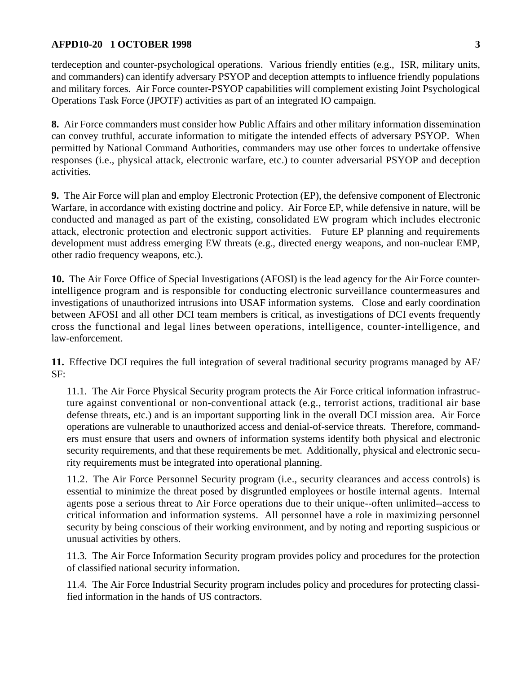## **AFPD10-20 1 OCTOBER 1998** 3

terdeception and counter-psychological operations. Various friendly entities (e.g., ISR, military units, and commanders) can identify adversary PSYOP and deception attempts to influence friendly populations and military forces. Air Force counter-PSYOP capabilities will complement existing Joint Psychological Operations Task Force (JPOTF) activities as part of an integrated IO campaign.

**8.** Air Force commanders must consider how Public Affairs and other military information dissemination can convey truthful, accurate information to mitigate the intended effects of adversary PSYOP. When permitted by National Command Authorities, commanders may use other forces to undertake offensive responses (i.e., physical attack, electronic warfare, etc.) to counter adversarial PSYOP and deception activities.

**9.** The Air Force will plan and employ Electronic Protection (EP), the defensive component of Electronic Warfare, in accordance with existing doctrine and policy. Air Force EP, while defensive in nature, will be conducted and managed as part of the existing, consolidated EW program which includes electronic attack, electronic protection and electronic support activities. Future EP planning and requirements development must address emerging EW threats (e.g., directed energy weapons, and non-nuclear EMP, other radio frequency weapons, etc.).

**10.** The Air Force Office of Special Investigations (AFOSI) is the lead agency for the Air Force counterintelligence program and is responsible for conducting electronic surveillance countermeasures and investigations of unauthorized intrusions into USAF information systems. Close and early coordination between AFOSI and all other DCI team members is critical, as investigations of DCI events frequently cross the functional and legal lines between operations, intelligence, counter-intelligence, and law-enforcement.

**11.** Effective DCI requires the full integration of several traditional security programs managed by AF/ SF:

11.1. The Air Force Physical Security program protects the Air Force critical information infrastructure against conventional or non-conventional attack (e.g., terrorist actions, traditional air base defense threats, etc.) and is an important supporting link in the overall DCI mission area. Air Force operations are vulnerable to unauthorized access and denial-of-service threats. Therefore, commanders must ensure that users and owners of information systems identify both physical and electronic security requirements, and that these requirements be met. Additionally, physical and electronic security requirements must be integrated into operational planning.

11.2. The Air Force Personnel Security program (i.e., security clearances and access controls) is essential to minimize the threat posed by disgruntled employees or hostile internal agents. Internal agents pose a serious threat to Air Force operations due to their unique--often unlimited--access to critical information and information systems. All personnel have a role in maximizing personnel security by being conscious of their working environment, and by noting and reporting suspicious or unusual activities by others.

11.3. The Air Force Information Security program provides policy and procedures for the protection of classified national security information.

11.4. The Air Force Industrial Security program includes policy and procedures for protecting classified information in the hands of US contractors.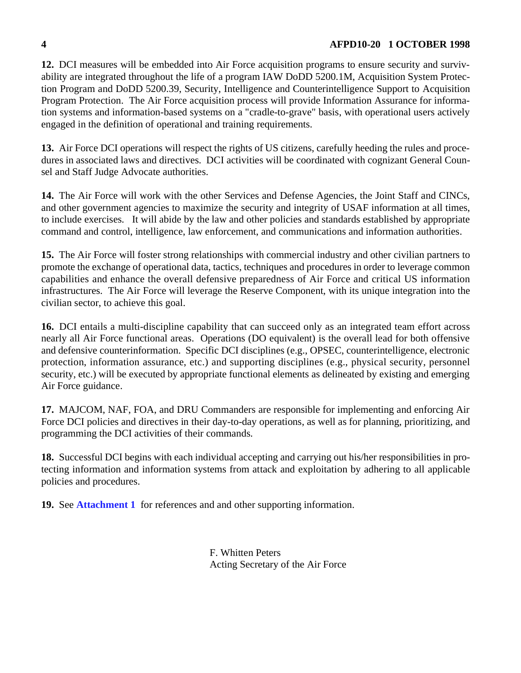**12.** DCI measures will be embedded into Air Force acquisition programs to ensure security and survivability are integrated throughout the life of a program IAW DoDD 5200.1M, Acquisition System Protection Program and DoDD 5200.39, Security, Intelligence and Counterintelligence Support to Acquisition Program Protection. The Air Force acquisition process will provide Information Assurance for information systems and information-based systems on a "cradle-to-grave" basis, with operational users actively engaged in the definition of operational and training requirements.

**13.** Air Force DCI operations will respect the rights of US citizens, carefully heeding the rules and procedures in associated laws and directives. DCI activities will be coordinated with cognizant General Counsel and Staff Judge Advocate authorities.

**14.** The Air Force will work with the other Services and Defense Agencies, the Joint Staff and CINCs, and other government agencies to maximize the security and integrity of USAF information at all times, to include exercises. It will abide by the law and other policies and standards established by appropriate command and control, intelligence, law enforcement, and communications and information authorities.

**15.** The Air Force will foster strong relationships with commercial industry and other civilian partners to promote the exchange of operational data, tactics, techniques and procedures in order to leverage common capabilities and enhance the overall defensive preparedness of Air Force and critical US information infrastructures. The Air Force will leverage the Reserve Component, with its unique integration into the civilian sector, to achieve this goal.

**16.** DCI entails a multi-discipline capability that can succeed only as an integrated team effort across nearly all Air Force functional areas. Operations (DO equivalent) is the overall lead for both offensive and defensive counterinformation. Specific DCI disciplines (e.g., OPSEC, counterintelligence, electronic protection, information assurance, etc.) and supporting disciplines (e.g., physical security, personnel security, etc.) will be executed by appropriate functional elements as delineated by existing and emerging Air Force guidance.

**17.** MAJCOM, NAF, FOA, and DRU Commanders are responsible for implementing and enforcing Air Force DCI policies and directives in their day-to-day operations, as well as for planning, prioritizing, and programming the DCI activities of their commands.

**18.** Successful DCI begins with each individual accepting and carrying out his/her responsibilities in protecting information and information systems from attack and exploitation by adhering to all applicable policies and procedures.

**19.** See **[Attachment 1](#page-4-0)** for references and and other supporting information.

F. Whitten Peters Acting Secretary of the Air Force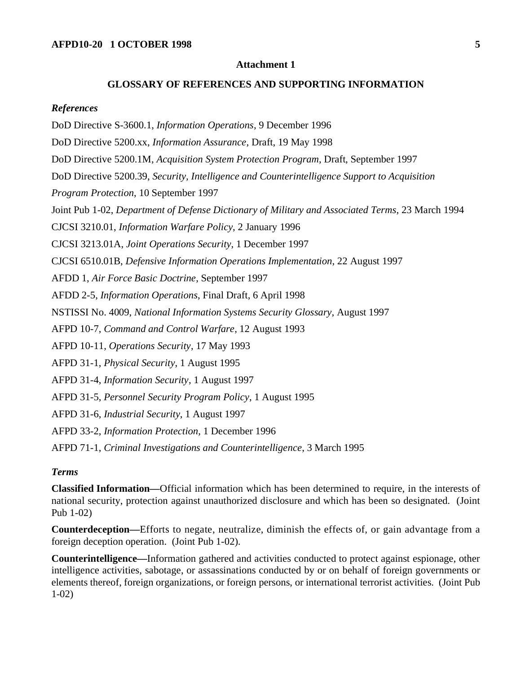#### **Attachment 1**

### **GLOSSARY OF REFERENCES AND SUPPORTING INFORMATION**

#### <span id="page-4-0"></span>*References*

DoD Directive S-3600.1, *Information Operations*, 9 December 1996 DoD Directive 5200.xx, *Information Assurance*, Draft, 19 May 1998 DoD Directive 5200.1M, *Acquisition System Protection Program*, Draft, September 1997

DoD Directive 5200.39, *Security, Intelligence and Counterintelligence Support to Acquisition* 

*Program Protection*, 10 September 1997

Joint Pub 1-02, *Department of Defense Dictionary of Military and Associated Terms*, 23 March 1994

CJCSI 3210.01, *Information Warfare Policy*, 2 January 1996

CJCSI 3213.01A, *Joint Operations Security*, 1 December 1997

CJCSI 6510.01B, *Defensive Information Operations Implementation*, 22 August 1997

AFDD 1, *Air Force Basic Doctrine*, September 1997

AFDD 2-5, *Information Operations*, Final Draft, 6 April 1998

NSTISSI No. 4009, *National Information Systems Security Glossary*, August 1997

AFPD 10-7, *Command and Control Warfare*, 12 August 1993

AFPD 10-11, *Operations Security*, 17 May 1993

AFPD 31-1, *Physical Security*, 1 August 1995

AFPD 31-4, *Information Security*, 1 August 1997

AFPD 31-5, *Personnel Security Program Policy*, 1 August 1995

AFPD 31-6, *Industrial Security*, 1 August 1997

AFPD 33-2, *Information Protection*, 1 December 1996

AFPD 71-1, *Criminal Investigations and Counterintelligence*, 3 March 1995

### *Terms*

**Classified Information—**Official information which has been determined to require, in the interests of national security, protection against unauthorized disclosure and which has been so designated. (Joint Pub 1-02)

**Counterdeception—**Efforts to negate, neutralize, diminish the effects of, or gain advantage from a foreign deception operation. (Joint Pub 1-02).

**Counterintelligence—**Information gathered and activities conducted to protect against espionage, other intelligence activities, sabotage, or assassinations conducted by or on behalf of foreign governments or elements thereof, foreign organizations, or foreign persons, or international terrorist activities. (Joint Pub 1-02)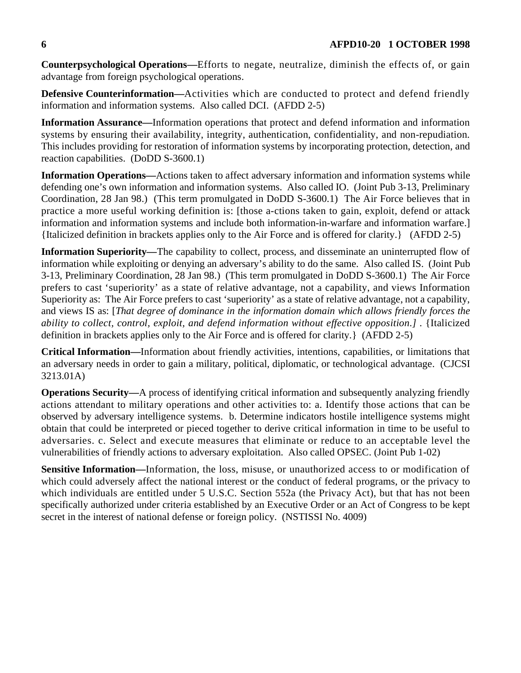**Counterpsychological Operations—**Efforts to negate, neutralize, diminish the effects of, or gain advantage from foreign psychological operations.

**Defensive Counterinformation—**Activities which are conducted to protect and defend friendly information and information systems. Also called DCI. (AFDD 2-5)

**Information Assurance—**Information operations that protect and defend information and information systems by ensuring their availability, integrity, authentication, confidentiality, and non-repudiation. This includes providing for restoration of information systems by incorporating protection, detection, and reaction capabilities. (DoDD S-3600.1)

**Information Operations—**Actions taken to affect adversary information and information systems while defending one's own information and information systems. Also called IO. (Joint Pub 3-13, Preliminary Coordination, 28 Jan 98.) (This term promulgated in DoDD S-3600.1) The Air Force believes that in practice a more useful working definition is: [those a-ctions taken to gain, exploit, defend or attack information and information systems and include both information-in-warfare and information warfare.] {Italicized definition in brackets applies only to the Air Force and is offered for clarity.} (AFDD 2-5)

**Information Superiority—**The capability to collect, process, and disseminate an uninterrupted flow of information while exploiting or denying an adversary's ability to do the same. Also called IS. (Joint Pub 3-13, Preliminary Coordination, 28 Jan 98.) (This term promulgated in DoDD S-3600.1) The Air Force prefers to cast 'superiority' as a state of relative advantage, not a capability, and views Information Superiority as: The Air Force prefers to cast 'superiority' as a state of relative advantage, not a capability, and views IS as: [*That degree of dominance in the information domain which allows friendly forces the ability to collect, control, exploit, and defend information without effective opposition.]* . {Italicized definition in brackets applies only to the Air Force and is offered for clarity.} (AFDD 2-5)

**Critical Information—**Information about friendly activities, intentions, capabilities, or limitations that an adversary needs in order to gain a military, political, diplomatic, or technological advantage. (CJCSI 3213.01A)

**Operations Security—**A process of identifying critical information and subsequently analyzing friendly actions attendant to military operations and other activities to: a. Identify those actions that can be observed by adversary intelligence systems. b. Determine indicators hostile intelligence systems might obtain that could be interpreted or pieced together to derive critical information in time to be useful to adversaries. c. Select and execute measures that eliminate or reduce to an acceptable level the vulnerabilities of friendly actions to adversary exploitation. Also called OPSEC. (Joint Pub 1-02)

**Sensitive Information—**Information, the loss, misuse, or unauthorized access to or modification of which could adversely affect the national interest or the conduct of federal programs, or the privacy to which individuals are entitled under 5 U.S.C. Section 552a (the Privacy Act), but that has not been specifically authorized under criteria established by an Executive Order or an Act of Congress to be kept secret in the interest of national defense or foreign policy. (NSTISSI No. 4009)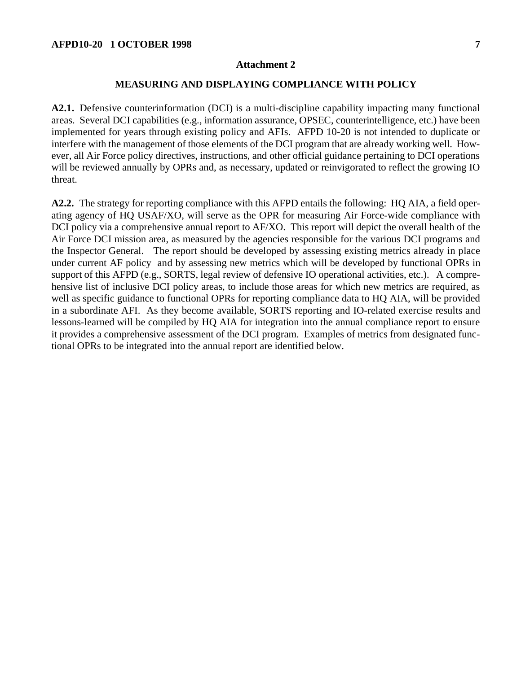#### **Attachment 2**

### **MEASURING AND DISPLAYING COMPLIANCE WITH POLICY**

**A2.1.** Defensive counterinformation (DCI) is a multi-discipline capability impacting many functional areas. Several DCI capabilities (e.g., information assurance, OPSEC, counterintelligence, etc.) have been implemented for years through existing policy and AFIs. AFPD 10-20 is not intended to duplicate or interfere with the management of those elements of the DCI program that are already working well. However, all Air Force policy directives, instructions, and other official guidance pertaining to DCI operations will be reviewed annually by OPRs and, as necessary, updated or reinvigorated to reflect the growing IO threat.

**A2.2.** The strategy for reporting compliance with this AFPD entails the following: HQ AIA, a field operating agency of HQ USAF/XO, will serve as the OPR for measuring Air Force-wide compliance with DCI policy via a comprehensive annual report to AF/XO. This report will depict the overall health of the Air Force DCI mission area, as measured by the agencies responsible for the various DCI programs and the Inspector General. The report should be developed by assessing existing metrics already in place under current AF policy and by assessing new metrics which will be developed by functional OPRs in support of this AFPD (e.g., SORTS, legal review of defensive IO operational activities, etc.). A comprehensive list of inclusive DCI policy areas, to include those areas for which new metrics are required, as well as specific guidance to functional OPRs for reporting compliance data to HQ AIA, will be provided in a subordinate AFI. As they become available, SORTS reporting and IO-related exercise results and lessons-learned will be compiled by HQ AIA for integration into the annual compliance report to ensure it provides a comprehensive assessment of the DCI program. Examples of metrics from designated functional OPRs to be integrated into the annual report are identified below.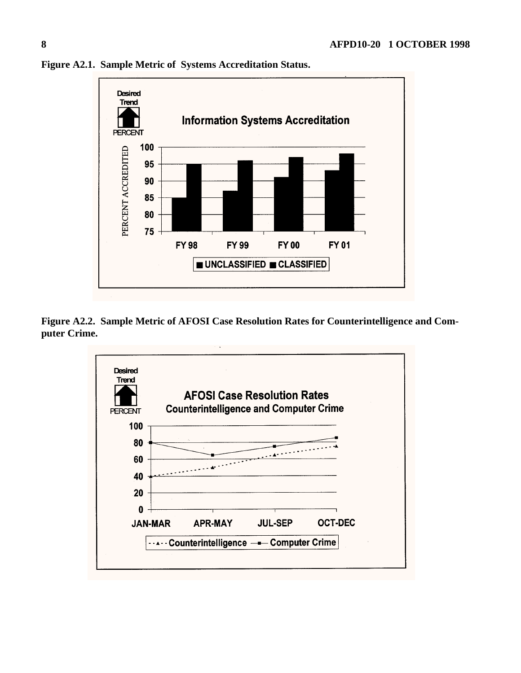

**Figure A2.1. Sample Metric of Systems Accreditation Status.**

**Figure A2.2. Sample Metric of AFOSI Case Resolution Rates for Counterintelligence and Computer Crime.**